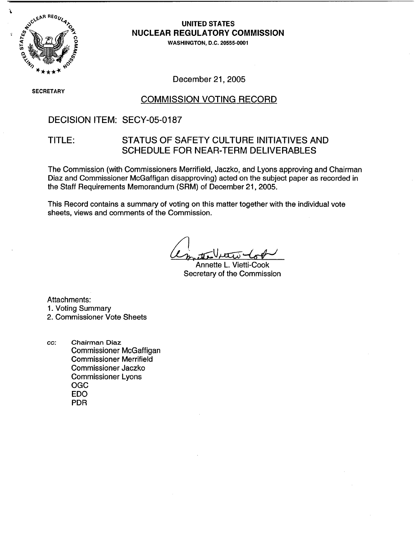

## **UNITED STATES** NUCLEAR REGULATORY COMMISSION

WASHINGTON, D.C. 20555-0001

SECRETARY

### December 21, 2005

### COMMISSION VOTING RECORD

## DECISION ITEM: SECY-05-0187

## TITLE: STATUS OF SAFETY CULTURE INITIATIVES AND SCHEDULE FOR NEAR-TERM DELIVERABLES

The Commission (with Commissioners Merrifield, Jaczko, and Lyons approving and Chairman Diaz and Commissioner McGaffigan disapproving) acted on the subject paper as recorded in the Staff Requirements Memorandum (SRM) of December 21, 2005.

This Record contains a summary of voting on this matter together with the individual vote sheets, views and comments of the Commission.

Annette L. Vietti-Cook Secretary of the Commission

Attachments:

1. Voting Summary

cc: Chairman Diaz Commissioner McGaffigan Commissioner Merrifield Commissioner Jaczko Commissioner Lyons OGC EDO PDR

<sup>2.</sup> Commissioner Vote Sheets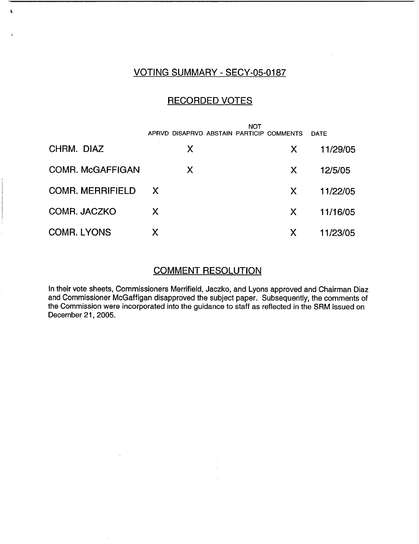# VOTING SUMMARY - SECY-05-0187

 $\mathbf{r}$ 

÷

## RECORDED VOTES

|                         | <b>NOT</b>                               |                           |             |
|-------------------------|------------------------------------------|---------------------------|-------------|
|                         | APRVD DISAPRVD ABSTAIN PARTICIP COMMENTS |                           | <b>DATE</b> |
| CHRM. DIAZ              | X                                        | $\boldsymbol{\mathsf{X}}$ | 11/29/05    |
| <b>COMR. McGAFFIGAN</b> | X                                        | X                         | 12/5/05     |
| <b>COMR. MERRIFIELD</b> | X.                                       | X                         | 11/22/05    |
| COMR. JACZKO            | X                                        | X                         | 11/16/05    |
| <b>COMR. LYONS</b>      | Χ                                        | X                         | 11/23/05    |

## COMMENT RESOLUTION

In their vote sheets, Commissioners Merrifield, Jaczko, and Lyons approved and Chairman Diaz and Commissioner McGaffigan disapproved the subject paper. Subsequently, the comments of the Commission were incorporated into the guidance to staff as reflected in the SRM issued on December 21, 2005.

 $\bar{z}$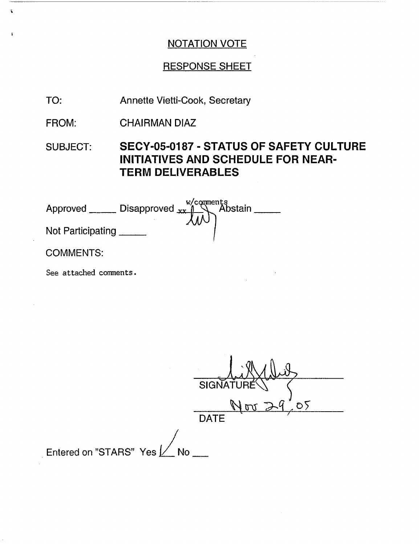# RESPONSE SHEET

- TO: Annette Vietti-Cook, Secretary
- FROM: CHAIRMAN DIAZ
- SUBJECT: **SECY-05-0187** - **STATUS OF SAFETY CULTURE INITIATIVES AND SCHEDULE FOR NEAR-TERM DELIVERABLES**

| Approved          | Disapproved $xx$ <sup>1</sup> | w/comments<br>Abstain |
|-------------------|-------------------------------|-----------------------|
| Not Participating |                               |                       |
| <b>COMMENTS:</b>  |                               |                       |

See attached comments.

 $\hat{\textbf{s}}$ 

 $\ddot{\phantom{a}}$ 

SIGNATURE \\ ) ،<br>ليم  $Nov 24.05$ **DATE** Entered on "STARS" Yes  $\nu$  No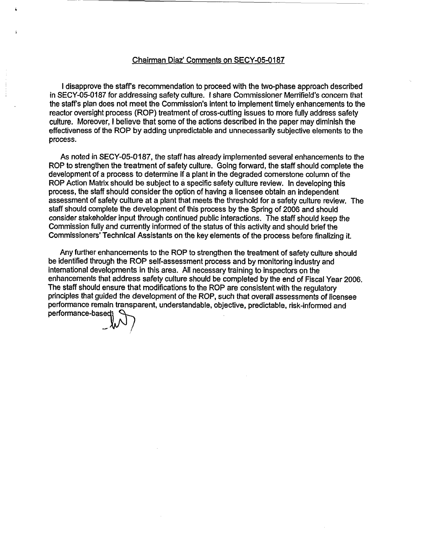### Chairman Diaz' Comments on SECY-05-0187

I disapprove the staffs recommendation to proceed with the two-phase approach described in SECY-05-0187 for addressing safety culture. I share Commissioner Merrifield's concern that the staffs plan does not meet the Commission's intent to implement timely enhancements to the reactor oversight process (ROP) treatment of cross-cutting issues to more fully address safety culture. Moreover, I believe that some of the actions described in the paper may diminish the effectiveness of the ROP by adding unpredictable and unnecessarily subjective elements to the process.

As noted in SECY-05-0187, the staff has already implemented several enhancements to the ROP to strengthen the treatment of safety culture. Going forward, the staff should complete the development of a process to determine if a plant in the degraded cornerstone column of the ROP Action Matrix should be subject to a specific safety culture review. In developing this process, the staff should consider the option of having a licensee obtain an independent assessment of safety culture at a plant that meets the threshold for a safety culture review. The staff should complete the development of this process by the Spring of 2006 and should consider stakeholder input through continued public interactions. The staff should keep the Commission fully and currently informed of the status of this activity and should brief the Commissioners' Technical Assistants on the key elements of the process before finalizing it.

Any further enhancements to the ROP to strengthen the treatment of safety culture should be identified through the ROP self-assessment process and by monitoring industry and international developments in this area. All necessary training to inspectors on the enhancements that address safety culture should be completed by the end of Fiscal Year 2006. The staff should ensure that modifications to the ROP are consistent with the regulatory principles that guided the development of the ROP, such that overall assessments of licensee performance remain transparent, understandable, objective, predictable, risk-informed and performance-based $1$   $\heartsuit$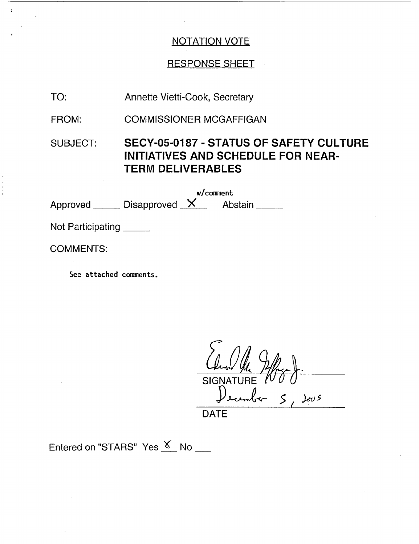# RESPONSE SHEET

- TO: Annette Vietti-Cook, Secretary
- FROM: COMMISSIONER MCGAFFIGAN
- SUBJECT: **SECY-05-0187 - STATUS OF SAFETY CULTURE INITIATIVES AND SCHEDULE FOR NEAR-TERM DELIVERABLES**

w/comment Approved Disapproved X Abstain

Not Participating

COMMENTS:

See attached comments.

**SIGNATU**  $J_{\text{c}v}$ DATE

Entered on "STARS" Yes  $K$  No \_\_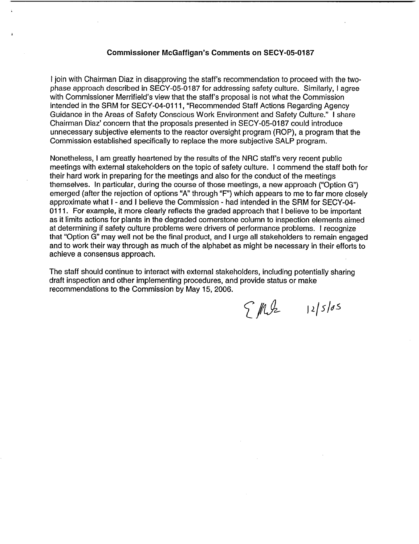### **Commissioner McGaffigan's Comments on SECY-05-0187**

I join with Chairman Diaz in disapproving the staff's recommendation to proceed with the twophase approach described in SECY-05-0187 for addressing safety culture. Similarly, I agree with Commissioner Merrifield's view that the staff's proposal is not what the Commission intended in the SRM for SECY-04-01 11, "Recommended Staff Actions Regarding Agency Guidance in the Areas of Safety Conscious Work Environment and Safety Culture." I share Chairman Diaz' concern that the proposals presented in SECY-05-0187 could introduce unnecessary subjective elements to the reactor oversight program (ROP), a program that the Commission established specifically to replace the more subjective SALP program.

Nonetheless, I am greatly heartened by the results of the NRC staff's very recent public meetings with external stakeholders on the topic of safety culture. I commend the staff both for their hard work in preparing for the meetings and also for the conduct of the meetings themselves. In particular, during the course of those meetings, a new approach ("Option G") emerged (after the rejection of options "A" through "F") which appears to me to far more closely approximate what I - and I believe the Commission - had intended in the SRM for SECY-04- 0111. For example, it more clearly reflects the graded approach that I believe to be important as it limits actions for plants in the degraded cornerstone column to inspection elements aimed at determining if safety culture problems were drivers of performance problems. I recognize that "Option G" may well not be the final product, and I urge all stakeholders to remain engaged and to work their way through as much of the alphabet as might be necessary in their efforts to achieve a consensus approach.

The staff should continue to interact with external stakeholders, including potentially sharing draft inspection and other implementing procedures, and provide status or make recommendations to the Commission by May 15, 2006.

 $\int M\int z$  12/5/05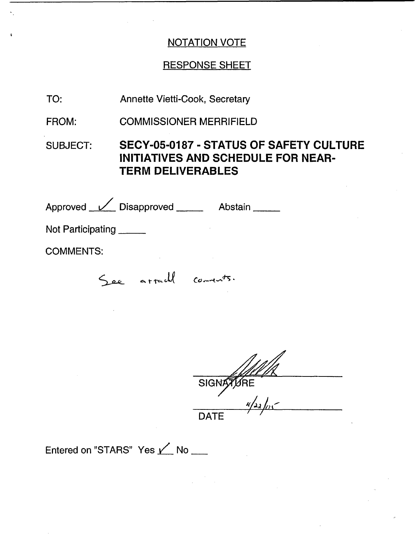# RESPONSE SHEET

TO: Annette Vietti-Cook, Secretary

FROM: COMMISSIONER MERRIFIELD

SUBJECT: **SECY-05-0187** - **STATUS OF SAFETY CULTURE INITIATIVES AND SCHEDULE FOR NEAR-TERM DELIVERABLES**

Approved <u>V</u> Disapproved Abstain Not Participating COMMENTS: See arrach coments.

| SIGNATURE   |
|-------------|
| $u/$ 22/05  |
| <b>DATE</b> |

Entered on "STARS" Yes  $\angle$  No \_\_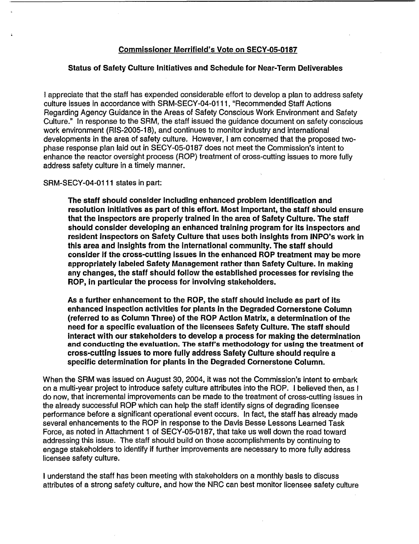### Commissioner Merrifield's Vote on **SECY-05-0187**

#### **Status of Safety Culture Initiatives and Schedule for Near-Term Deliverables**

I appreciate that the staff has expended considerable effort to develop a plan to address safety culture issues in accordance with SRM-SECY-04-01 11, "Recommended Staff Actions Regarding Agency Guidance in the Areas of Safety Conscious Work Environment and Safety Culture." In response to the SRM, the staff issued the guidance document on safety conscious work environment (RIS-2005-18), and continues to monitor industry and international developments in the area of safety culture. However, I am concerned that the proposed twophase response plan laid out in SECY-05-0187 does not meet the Commission's intent to enhance the reactor oversight process (ROP) treatment of cross-cutting issues to more fully address safety culture in a timely manner.

SRM-SECY-04-0111 states in part:

**The staff should consider including enhanced problem identification and resolution initiatives as part of this effort. Most important, the staff should ensure** that the inspectors are properly trained in the area of Safety Culture. The **staff should consider developing an enhanced training program for its inspectors and resident inspectors on Safety Culture that uses both insights from INPO's work in this area and Insights from the international community. The staff should consider if the cross-cutting issues** in **the enhanced ROP treatment may be more appropriately labeled Safety Management rather than Safety Culture. In making any changes, the staff should follow the established processes for revising the ROP,** in **particular the process for involving stakeholders.**

**As** a **further enhancement to the ROP, the staff should include as part of its enhanced inspection activities for plants** in **the Degraded Cornerstone Column (referred to as Column Three) of the ROP Action Matrix, a determination of the need for a specific evaluation of the licensees Safety Culture.** The **staff should Interact with our stakeholders to develop a process for making the determination and conducting the evaluation. The staff's methodology for using the treatment of cross-cutting issues to more fully address Safety Culture should require a specific determination for plants in the Degraded Cornerstone Column.**

When the SRM was issued on August 30, 2004, it was not the Commission's intent to embark on a multi-year project to introduce safety culture attributes into the ROP. I believed then, as I do now, that incremental improvements can be made to the treatment of cross-cutting issues in the already successful ROP which can help the staff identify signs of degrading licensee performance before a significant operational event occurs. In fact, the staff has already made several enhancements to the ROP in response to the Davis Besse Lessons Learned Task Force, as noted in Attachment 1 of SECY-05-0187, that take us well down the road toward addressing this issue. The staff should build on those accomplishments by continuing to engage stakeholders to identify if further improvements are necessary to more fully address licensee safety culture.

I understand the staff has been meeting with stakeholders on a monthly basis to discuss attributes of a strong safety culture, and how the NRC can best monitor licensee safety culture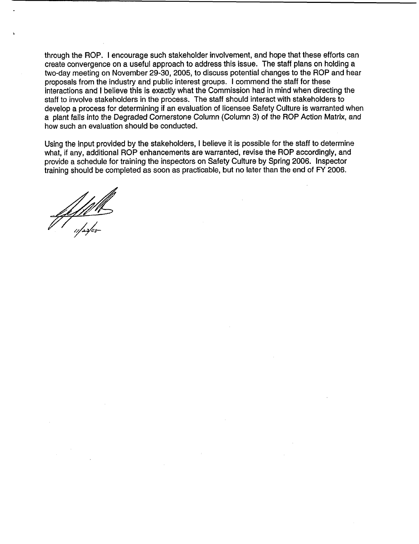through the ROP. I encourage such stakeholder involvement, and hope that these efforts can create convergence on a useful approach to address this issue. The staff plans on holding a two-day meeting on November 29-30, 2005, to discuss potential changes to the ROP and hear proposals from the industry and public interest groups. I commend the staff for these interactions and I believe this is exactly what the Commission had in mind when directing the staff to involve stakeholders in the process. The staff should interact with stakeholders to develop a process for determining if an evaluation of licensee Safety Culture is warranted when a plant falls into the Degraded Cornerstone Column (Column 3) of the ROP Action Matrix, and how such an evaluation should be conducted.

Using the input provided by the stakeholders, I believe it is possible for the staff to determine what, if any, additional ROP enhancements are warranted, revise the ROP accordingly, and provide a schedule for training the inspectors on Safety Culture by Spring 2006. Inspector training should be completed as soon as practicable, but no later than the end of FY 2006.

<u>:1/////</u><br><sub>:1/23</sub>/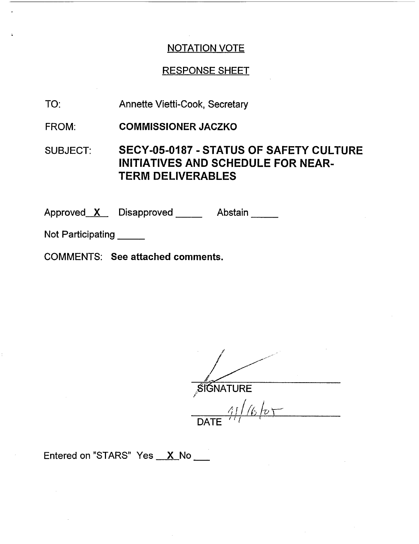## RESPONSE SHEET

- TO: Annette Vietti-Cook, Secretary
- FROM: **COMMISSIONER JACZKO**

## SUBJECT: SECY-05-0187 - STATUS OF SAFETY CULTURE INITIATIVES AND SCHEDULE FOR NEAR-TERM DELIVERABLES

Approved\_\_**X**\_\_\_ Disapproved \_\_\_\_\_\_\_\_ Abstain

Not Participating

COMMENTS: See attached comments.

i **SIGNATURE** 

 $411/6$  to  $\overline{ }$ DATE  $\frac{1}{1}$ 

Entered on "STARS" Yes **X** No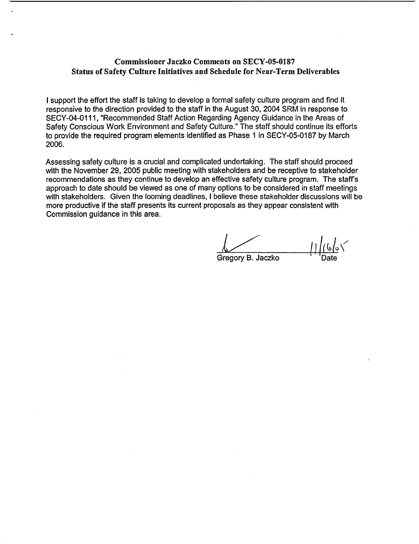### **Commissioner Jaczko Comments on SECY-05-0187 Status of Safety Culture Initiatives and Schedule for Near-Term Deliverables**

I support the effort the staff is taking to develop a formal safety culture program and find it responsive to the direction provided to the staff in the August 30, 2004 SRM in response to SECY-04-0111, "Recommended Staff Action Regarding Agency Guidance in the Areas of Safety Conscious Work Environment and Safety Culture." The staff should continue its efforts to provide the required program elements identified as Phase 1 in SECY-05-0187 by March 2006.

Assessing safety culture is a crucial and complicated undertaking. The staff should proceed with the November 29, 2005 public meeting with stakeholders and be receptive to stakeholder recommendations as they continue to develop an effective safety culture program. The staff's approach to date should be viewed as one of many options to be considered in staff meetings with stakeholders. Given the looming deadlines, I believe these stakeholder discussions will be more productive if the staff presents its current proposals as they appear consistent with Commission guidance in this area.

Gregory B. Jaczko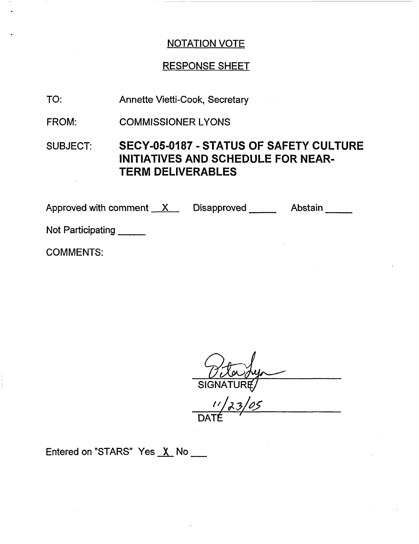# RESPONSE SHEET

- TO: Annette Vietti-Cook, Secretary
- FROM: COMMISSIONER LYONS

# SUBJECT: SECY-05-0187 - STATUS OF SAFETY CULTURE INITIATIVES AND SCHEDULE FOR NEAR-TERM DELIVERABLES

Approved with comment  $X$  Disapproved  $\frac{X}{X}$  Disapproved  $\frac{X}{X}$ Not Participating

COMMENTS:

SIGNATURĘ

**<sup>I</sup>'** / z *"/ -* DATI

Entered on "STARS" Yes X No